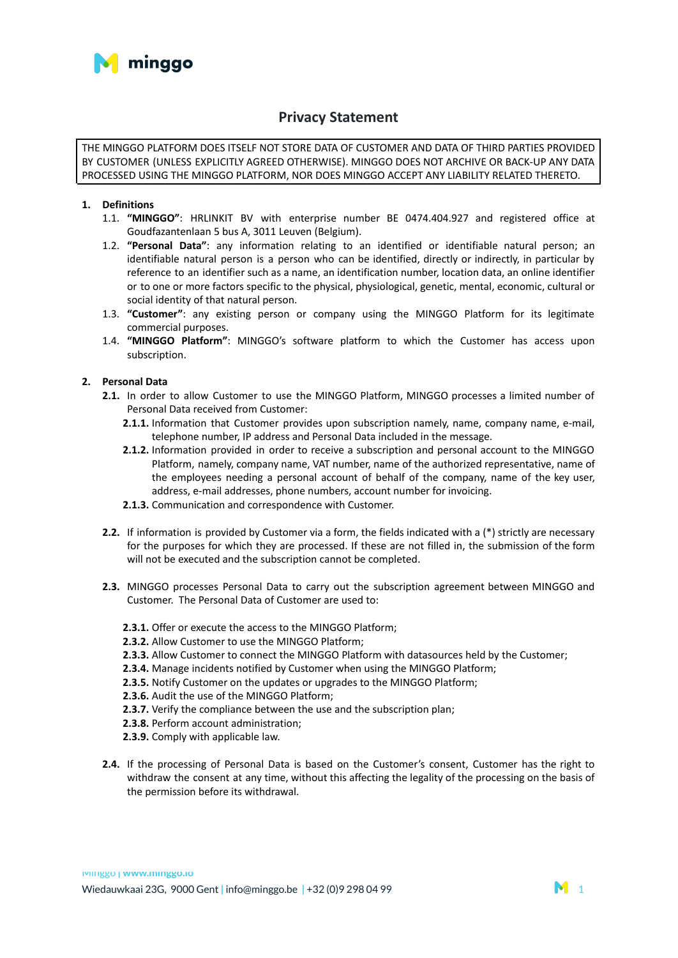

# **Privacy Statement**

THE MINGGO PLATFORM DOES ITSELF NOT STORE DATA OF CUSTOMER AND DATA OF THIRD PARTIES PROVIDED BY CUSTOMER (UNLESS EXPLICITLY AGREED OTHERWISE). MINGGO DOES NOT ARCHIVE OR BACK-UP ANY DATA PROCESSED USING THE MINGGO PLATFORM, NOR DOES MINGGO ACCEPT ANY LIABILITY RELATED THERETO.

## **1. Definitions**

- 1.1. **"MINGGO"**: HRLINKIT BV with enterprise number BE 0474.404.927 and registered office at Goudfazantenlaan 5 bus A, 3011 Leuven (Belgium).
- 1.2. **"Personal Data"**: any information relating to an identified or identifiable natural person; an identifiable natural person is a person who can be identified, directly or indirectly, in particular by reference to an identifier such as a name, an identification number, location data, an online identifier or to one or more factors specific to the physical, physiological, genetic, mental, economic, cultural or social identity of that natural person.
- 1.3. **"Customer"**: any existing person or company using the MINGGO Platform for its legitimate commercial purposes.
- 1.4. **"MINGGO Platform"**: MINGGO's software platform to which the Customer has access upon subscription.

## **2. Personal Data**

- **2.1.** In order to allow Customer to use the MINGGO Platform, MINGGO processes a limited number of Personal Data received from Customer:
	- **2.1.1.** Information that Customer provides upon subscription namely, name, company name, e-mail, telephone number, IP address and Personal Data included in the message.
	- **2.1.2.** Information provided in order to receive a subscription and personal account to the MINGGO Platform, namely, company name, VAT number, name of the authorized representative, name of the employees needing a personal account of behalf of the company, name of the key user, address, e-mail addresses, phone numbers, account number for invoicing.
	- **2.1.3.** Communication and correspondence with Customer.
- **2.2.** If information is provided by Customer via a form, the fields indicated with a (\*) strictly are necessary for the purposes for which they are processed. If these are not filled in, the submission of the form will not be executed and the subscription cannot be completed.
- **2.3.** MINGGO processes Personal Data to carry out the subscription agreement between MINGGO and Customer. The Personal Data of Customer are used to:
	- **2.3.1.** Offer or execute the access to the MINGGO Platform;
	- **2.3.2.** Allow Customer to use the MINGGO Platform;
	- **2.3.3.** Allow Customer to connect the MINGGO Platform with datasources held by the Customer;
	- **2.3.4.** Manage incidents notified by Customer when using the MINGGO Platform;
	- **2.3.5.** Notify Customer on the updates or upgrades to the MINGGO Platform;
	- **2.3.6.** Audit the use of the MINGGO Platform;
	- **2.3.7.** Verify the compliance between the use and the subscription plan;
	- **2.3.8.** Perform account administration;
	- **2.3.9.** Comply with applicable law.
- **2.4.** If the processing of Personal Data is based on the Customer's consent, Customer has the right to withdraw the consent at any time, without this affecting the legality of the processing on the basis of the permission before its withdrawal.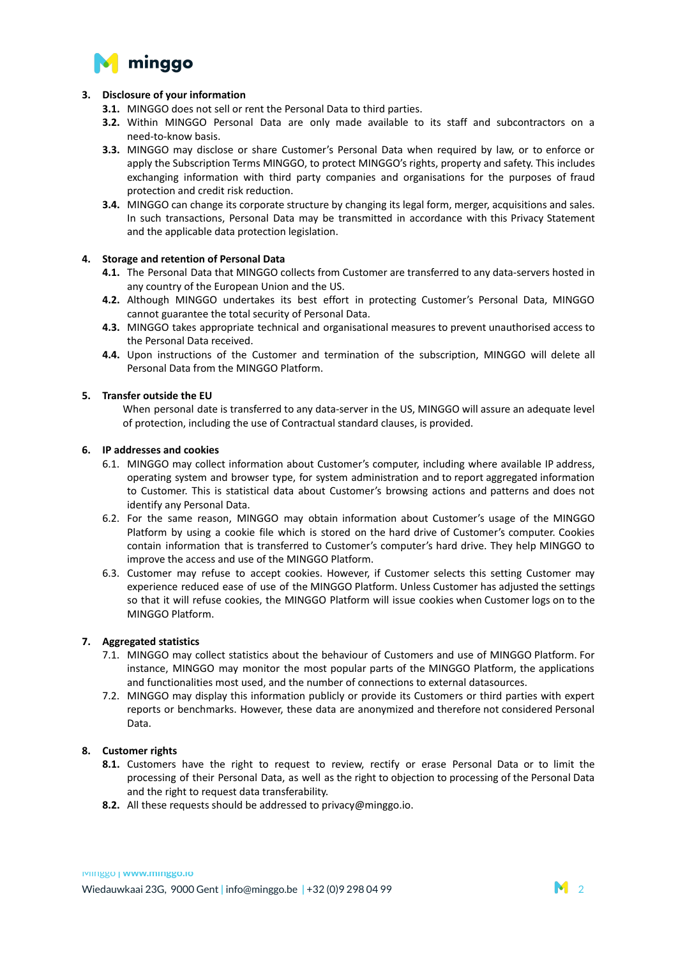

## **3. Disclosure of your information**

- **3.1.** MINGGO does not sell or rent the Personal Data to third parties.
- **3.2.** Within MINGGO Personal Data are only made available to its staff and subcontractors on a need-to-know basis.
- **3.3.** MINGGO may disclose or share Customer's Personal Data when required by law, or to enforce or apply the Subscription Terms MINGGO, to protect MINGGO's rights, property and safety. This includes exchanging information with third party companies and organisations for the purposes of fraud protection and credit risk reduction.
- **3.4.** MINGGO can change its corporate structure by changing its legal form, merger, acquisitions and sales. In such transactions, Personal Data may be transmitted in accordance with this Privacy Statement and the applicable data protection legislation.

### **4. Storage and retention of Personal Data**

- **4.1.** The Personal Data that MINGGO collects from Customer are transferred to any data-servers hosted in any country of the European Union and the US.
- **4.2.** Although MINGGO undertakes its best effort in protecting Customer's Personal Data, MINGGO cannot guarantee the total security of Personal Data.
- **4.3.** MINGGO takes appropriate technical and organisational measures to prevent unauthorised access to the Personal Data received.
- **4.4.** Upon instructions of the Customer and termination of the subscription, MINGGO will delete all Personal Data from the MINGGO Platform.

#### **5. Transfer outside the EU**

When personal date is transferred to any data-server in the US, MINGGO will assure an adequate level of protection, including the use of Contractual standard clauses, is provided.

#### **6. IP addresses and cookies**

- 6.1. MINGGO may collect information about Customer's computer, including where available IP address, operating system and browser type, for system administration and to report aggregated information to Customer. This is statistical data about Customer's browsing actions and patterns and does not identify any Personal Data.
- 6.2. For the same reason, MINGGO may obtain information about Customer's usage of the MINGGO Platform by using a cookie file which is stored on the hard drive of Customer's computer. Cookies contain information that is transferred to Customer's computer's hard drive. They help MINGGO to improve the access and use of the MINGGO Platform.
- 6.3. Customer may refuse to accept cookies. However, if Customer selects this setting Customer may experience reduced ease of use of the MINGGO Platform. Unless Customer has adjusted the settings so that it will refuse cookies, the MINGGO Platform will issue cookies when Customer logs on to the MINGGO Platform.

#### **7. Aggregated statistics**

- 7.1. MINGGO may collect statistics about the behaviour of Customers and use of MINGGO Platform. For instance, MINGGO may monitor the most popular parts of the MINGGO Platform, the applications and functionalities most used, and the number of connections to external datasources.
- 7.2. MINGGO may display this information publicly or provide its Customers or third parties with expert reports or benchmarks. However, these data are anonymized and therefore not considered Personal Data.

#### **8. Customer rights**

- **8.1.** Customers have the right to request to review, rectify or erase Personal Data or to limit the processing of their Personal Data, as well as the right to objection to processing of the Personal Data and the right to request data transferability.
- **8.2.** All these requests should be addressed to privacy@minggo.io.